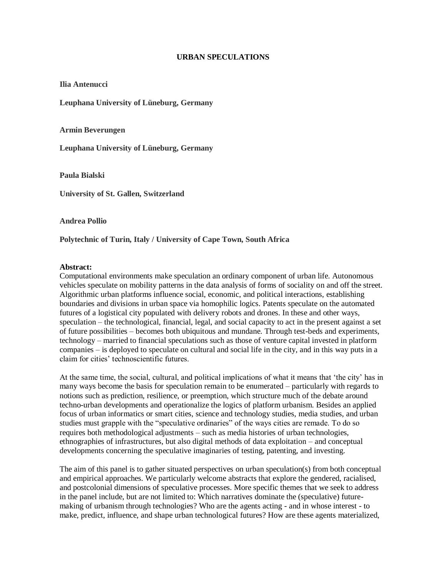## **URBAN SPECULATIONS**

**Ilia Antenucci**

**Leuphana University of Lüneburg, Germany**

**Armin Beverungen**

**Leuphana University of Lüneburg, Germany**

**Paula Bialski**

**University of St. Gallen, Switzerland**

**Andrea Pollio**

**Polytechnic of Turin, Italy / University of Cape Town, South Africa**

## **Abstract:**

Computational environments make speculation an ordinary component of urban life. Autonomous vehicles speculate on mobility patterns in the data analysis of forms of sociality on and off the street. Algorithmic urban platforms influence social, economic, and political interactions, establishing boundaries and divisions in urban space via homophilic logics. Patents speculate on the automated futures of a logistical city populated with delivery robots and drones. In these and other ways, speculation – the technological, financial, legal, and social capacity to act in the present against a set of future possibilities – becomes both ubiquitous and mundane. Through test-beds and experiments, technology – married to financial speculations such as those of venture capital invested in platform companies – is deployed to speculate on cultural and social life in the city, and in this way puts in a claim for cities' technoscientific futures.

At the same time, the social, cultural, and political implications of what it means that 'the city' has in many ways become the basis for speculation remain to be enumerated – particularly with regards to notions such as prediction, resilience, or preemption, which structure much of the debate around techno-urban developments and operationalize the logics of platform urbanism. Besides an applied focus of urban informatics or smart cities, science and technology studies, media studies, and urban studies must grapple with the "speculative ordinaries" of the ways cities are remade. To do so requires both methodological adjustments – such as media histories of urban technologies, ethnographies of infrastructures, but also digital methods of data exploitation – and conceptual developments concerning the speculative imaginaries of testing, patenting, and investing.

The aim of this panel is to gather situated perspectives on urban speculation(s) from both conceptual and empirical approaches. We particularly welcome abstracts that explore the gendered, racialised, and postcolonial dimensions of speculative processes. More specific themes that we seek to address in the panel include, but are not limited to: Which narratives dominate the (speculative) futuremaking of urbanism through technologies? Who are the agents acting - and in whose interest - to make, predict, influence, and shape urban technological futures? How are these agents materialized,